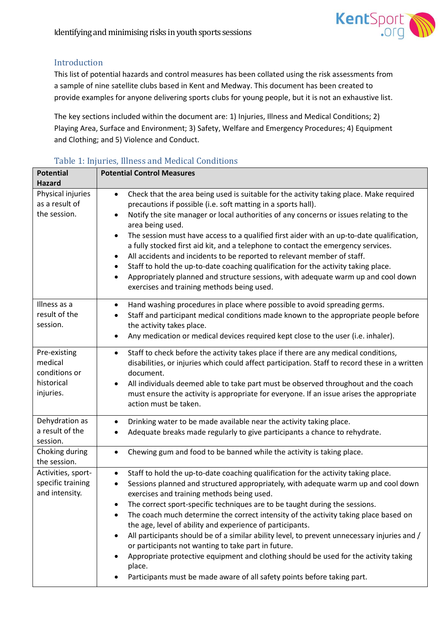

## Introduction

This list of potential hazards and control measures has been collated using the risk assessments from a sample of nine satellite clubs based in Kent and Medway. This document has been created to provide examples for anyone delivering sports clubs for young people, but it is not an exhaustive list.

The key sections included within the document are: 1) Injuries, Illness and Medical Conditions; 2) Playing Area, Surface and Environment; 3) Safety, Welfare and Emergency Procedures; 4) Equipment and Clothing; and 5) Violence and Conduct.

| <b>Potential</b>                                                    | <b>Potential Control Measures</b>                                                                                                                                                                                                                                                                                                                                                                                                                                                                                                                                                                                                                                                                                                                                                                                                  |
|---------------------------------------------------------------------|------------------------------------------------------------------------------------------------------------------------------------------------------------------------------------------------------------------------------------------------------------------------------------------------------------------------------------------------------------------------------------------------------------------------------------------------------------------------------------------------------------------------------------------------------------------------------------------------------------------------------------------------------------------------------------------------------------------------------------------------------------------------------------------------------------------------------------|
| <b>Hazard</b>                                                       |                                                                                                                                                                                                                                                                                                                                                                                                                                                                                                                                                                                                                                                                                                                                                                                                                                    |
| Physical injuries<br>as a result of<br>the session.                 | Check that the area being used is suitable for the activity taking place. Make required<br>$\bullet$<br>precautions if possible (i.e. soft matting in a sports hall).<br>Notify the site manager or local authorities of any concerns or issues relating to the<br>$\bullet$<br>area being used.<br>The session must have access to a qualified first aider with an up-to-date qualification,<br>$\bullet$<br>a fully stocked first aid kit, and a telephone to contact the emergency services.<br>All accidents and incidents to be reported to relevant member of staff.<br>٠<br>Staff to hold the up-to-date coaching qualification for the activity taking place.<br>$\bullet$<br>Appropriately planned and structure sessions, with adequate warm up and cool down<br>$\bullet$<br>exercises and training methods being used. |
| Illness as a<br>result of the<br>session.                           | Hand washing procedures in place where possible to avoid spreading germs.<br>$\bullet$<br>Staff and participant medical conditions made known to the appropriate people before<br>the activity takes place.<br>Any medication or medical devices required kept close to the user (i.e. inhaler).<br>$\bullet$                                                                                                                                                                                                                                                                                                                                                                                                                                                                                                                      |
| Pre-existing<br>medical<br>conditions or<br>historical<br>injuries. | Staff to check before the activity takes place if there are any medical conditions,<br>$\bullet$<br>disabilities, or injuries which could affect participation. Staff to record these in a written<br>document.<br>All individuals deemed able to take part must be observed throughout and the coach<br>must ensure the activity is appropriate for everyone. If an issue arises the appropriate<br>action must be taken.                                                                                                                                                                                                                                                                                                                                                                                                         |
| Dehydration as<br>a result of the<br>session.                       | Drinking water to be made available near the activity taking place.<br>$\bullet$<br>Adequate breaks made regularly to give participants a chance to rehydrate.                                                                                                                                                                                                                                                                                                                                                                                                                                                                                                                                                                                                                                                                     |
| Choking during<br>the session.                                      | Chewing gum and food to be banned while the activity is taking place.                                                                                                                                                                                                                                                                                                                                                                                                                                                                                                                                                                                                                                                                                                                                                              |
| Activities, sport-<br>specific training<br>and intensity.           | Staff to hold the up-to-date coaching qualification for the activity taking place.<br>$\bullet$<br>Sessions planned and structured appropriately, with adequate warm up and cool down<br>exercises and training methods being used.<br>The correct sport-specific techniques are to be taught during the sessions.<br>The coach much determine the correct intensity of the activity taking place based on<br>the age, level of ability and experience of participants.<br>All participants should be of a similar ability level, to prevent unnecessary injuries and /<br>or participants not wanting to take part in future.<br>Appropriate protective equipment and clothing should be used for the activity taking<br>place.<br>Participants must be made aware of all safety points before taking part.                       |

### Table 1: Injuries, Illness and Medical Conditions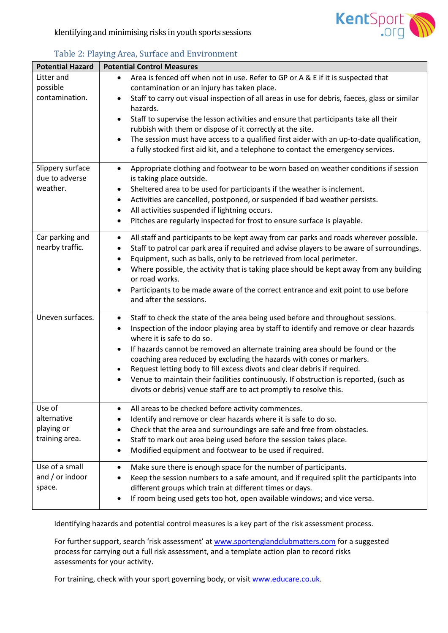

| <b>Potential Hazard</b>                               | <b>Potential Control Measures</b>                                                                                                                                                                                                                                                                                                                                                                                                                                                                                                                                                                                                                                 |
|-------------------------------------------------------|-------------------------------------------------------------------------------------------------------------------------------------------------------------------------------------------------------------------------------------------------------------------------------------------------------------------------------------------------------------------------------------------------------------------------------------------------------------------------------------------------------------------------------------------------------------------------------------------------------------------------------------------------------------------|
| Litter and<br>possible<br>contamination.              | Area is fenced off when not in use. Refer to GP or A & E if it is suspected that<br>$\bullet$<br>contamination or an injury has taken place.<br>Staff to carry out visual inspection of all areas in use for debris, faeces, glass or similar<br>$\bullet$<br>hazards.<br>Staff to supervise the lesson activities and ensure that participants take all their<br>$\bullet$<br>rubbish with them or dispose of it correctly at the site.<br>The session must have access to a qualified first aider with an up-to-date qualification,<br>$\bullet$<br>a fully stocked first aid kit, and a telephone to contact the emergency services.                           |
| Slippery surface<br>due to adverse<br>weather.        | Appropriate clothing and footwear to be worn based on weather conditions if session<br>$\bullet$<br>is taking place outside.<br>Sheltered area to be used for participants if the weather is inclement.<br>٠<br>Activities are cancelled, postponed, or suspended if bad weather persists.<br>$\bullet$<br>All activities suspended if lightning occurs.<br>$\bullet$<br>Pitches are regularly inspected for frost to ensure surface is playable.<br>$\bullet$                                                                                                                                                                                                    |
| Car parking and<br>nearby traffic.                    | All staff and participants to be kept away from car parks and roads wherever possible.<br>$\bullet$<br>Staff to patrol car park area if required and advise players to be aware of surroundings.<br>$\bullet$<br>Equipment, such as balls, only to be retrieved from local perimeter.<br>$\bullet$<br>Where possible, the activity that is taking place should be kept away from any building<br>or road works.<br>Participants to be made aware of the correct entrance and exit point to use before<br>$\bullet$<br>and after the sessions.                                                                                                                     |
| Uneven surfaces.                                      | Staff to check the state of the area being used before and throughout sessions.<br>$\bullet$<br>Inspection of the indoor playing area by staff to identify and remove or clear hazards<br>$\bullet$<br>where it is safe to do so.<br>If hazards cannot be removed an alternate training area should be found or the<br>$\bullet$<br>coaching area reduced by excluding the hazards with cones or markers.<br>Request letting body to fill excess divots and clear debris if required.<br>$\bullet$<br>Venue to maintain their facilities continuously. If obstruction is reported, (such as<br>divots or debris) venue staff are to act promptly to resolve this. |
| Use of<br>alternative<br>playing or<br>training area. | All areas to be checked before activity commences.<br>Identify and remove or clear hazards where it is safe to do so.<br>Check that the area and surroundings are safe and free from obstacles.<br>Staff to mark out area being used before the session takes place.<br>$\bullet$<br>Modified equipment and footwear to be used if required.<br>$\bullet$                                                                                                                                                                                                                                                                                                         |
| Use of a small<br>and $/$ or indoor<br>space.         | Make sure there is enough space for the number of participants.<br>$\bullet$<br>Keep the session numbers to a safe amount, and if required split the participants into<br>different groups which train at different times or days.<br>If room being used gets too hot, open available windows; and vice versa.                                                                                                                                                                                                                                                                                                                                                    |

## Table 2: Playing Area, Surface and Environment

Identifying hazards and potential control measures is a key part of the risk assessment process.

For further support, search 'risk assessment' at [www.sportenglandclubmatters.com](http://www.sportenglandclubmatters.com/) for a suggested process for carrying out a full risk assessment, and a template action plan to record risks assessments for your activity.

For training, check with your sport governing body, or visit [www.educare.co.uk.](http://www.educare.co.uk/)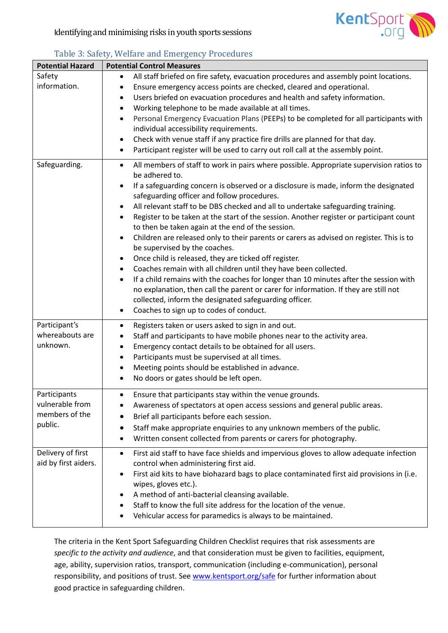

| <b>Potential Hazard</b>                                      | <b>Potential Control Measures</b>                                                                                                                                                                                                                                                                                                                                                                                                                                                                                                                                                                                                                                                                                                                                                                                                                                                                                                                                                                                                                                                                                                         |
|--------------------------------------------------------------|-------------------------------------------------------------------------------------------------------------------------------------------------------------------------------------------------------------------------------------------------------------------------------------------------------------------------------------------------------------------------------------------------------------------------------------------------------------------------------------------------------------------------------------------------------------------------------------------------------------------------------------------------------------------------------------------------------------------------------------------------------------------------------------------------------------------------------------------------------------------------------------------------------------------------------------------------------------------------------------------------------------------------------------------------------------------------------------------------------------------------------------------|
| Safety<br>information.                                       | All staff briefed on fire safety, evacuation procedures and assembly point locations.<br>$\bullet$<br>Ensure emergency access points are checked, cleared and operational.<br>٠<br>Users briefed on evacuation procedures and health and safety information.<br>٠<br>Working telephone to be made available at all times.<br>$\bullet$<br>Personal Emergency Evacuation Plans (PEEPs) to be completed for all participants with<br>٠<br>individual accessibility requirements.<br>Check with venue staff if any practice fire drills are planned for that day.<br>$\bullet$<br>Participant register will be used to carry out roll call at the assembly point.<br>$\bullet$                                                                                                                                                                                                                                                                                                                                                                                                                                                               |
| Safeguarding.                                                | All members of staff to work in pairs where possible. Appropriate supervision ratios to<br>$\bullet$<br>be adhered to.<br>If a safeguarding concern is observed or a disclosure is made, inform the designated<br>$\bullet$<br>safeguarding officer and follow procedures.<br>All relevant staff to be DBS checked and all to undertake safeguarding training.<br>$\bullet$<br>Register to be taken at the start of the session. Another register or participant count<br>$\bullet$<br>to then be taken again at the end of the session.<br>Children are released only to their parents or carers as advised on register. This is to<br>$\bullet$<br>be supervised by the coaches.<br>Once child is released, they are ticked off register.<br>$\bullet$<br>Coaches remain with all children until they have been collected.<br>٠<br>If a child remains with the coaches for longer than 10 minutes after the session with<br>$\bullet$<br>no explanation, then call the parent or carer for information. If they are still not<br>collected, inform the designated safeguarding officer.<br>Coaches to sign up to codes of conduct.<br>٠ |
| Participant's<br>whereabouts are<br>unknown.                 | Registers taken or users asked to sign in and out.<br>٠<br>Staff and participants to have mobile phones near to the activity area.<br>$\bullet$<br>Emergency contact details to be obtained for all users.<br>$\bullet$<br>Participants must be supervised at all times.<br>$\bullet$<br>Meeting points should be established in advance.<br>٠<br>No doors or gates should be left open.<br>$\bullet$                                                                                                                                                                                                                                                                                                                                                                                                                                                                                                                                                                                                                                                                                                                                     |
| Participants<br>vulnerable from<br>members of the<br>public. | Ensure that participants stay within the venue grounds.<br>$\bullet$<br>Awareness of spectators at open access sessions and general public areas.<br>٠<br>Brief all participants before each session.<br>Staff make appropriate enquiries to any unknown members of the public.<br>٠<br>Written consent collected from parents or carers for photography.<br>$\bullet$                                                                                                                                                                                                                                                                                                                                                                                                                                                                                                                                                                                                                                                                                                                                                                    |
| Delivery of first<br>aid by first aiders.                    | First aid staff to have face shields and impervious gloves to allow adequate infection<br>$\bullet$<br>control when administering first aid.<br>First aid kits to have biohazard bags to place contaminated first aid provisions in (i.e.<br>٠<br>wipes, gloves etc.).<br>A method of anti-bacterial cleansing available.<br>٠<br>Staff to know the full site address for the location of the venue.<br>Vehicular access for paramedics is always to be maintained.                                                                                                                                                                                                                                                                                                                                                                                                                                                                                                                                                                                                                                                                       |

#### Table 3: Safety, Welfare and Emergency Procedures **Potential Hazard Potential Control Measures**

The criteria in the Kent Sport Safeguarding Children Checklist requires that risk assessments are *specific to the activity and audience*, and that consideration must be given to facilities, equipment, age, ability, supervision ratios, transport, communication (including e-communication), personal responsibility, and positions of trust. See [www.kentsport.org/safe](http://www.kentsport.org/safe) for further information about good practice in safeguarding children.